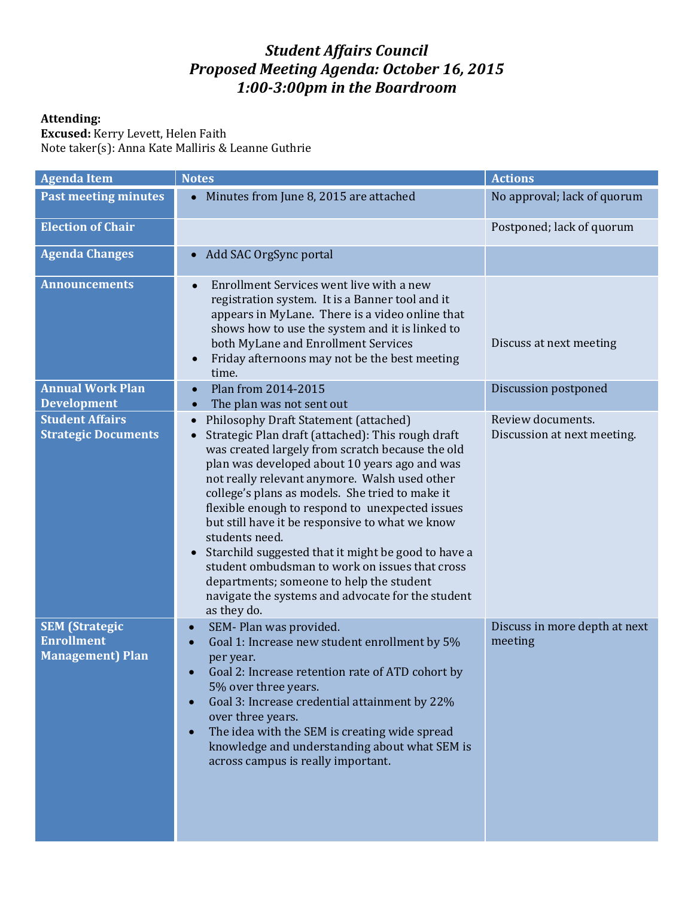## *Student Affairs Council Proposed Meeting Agenda: October 16, 2015 1:00-3:00pm in the Boardroom*

## **Attending:**

**Excused:** Kerry Levett, Helen Faith Note taker(s): Anna Kate Malliris & Leanne Guthrie

| <b>Agenda Item</b>                                                     | <b>Notes</b>                                                                                                                                                                                                                                                                                                                                                                                                                                                                                                                                                                                                                                         | <b>Actions</b>                                   |
|------------------------------------------------------------------------|------------------------------------------------------------------------------------------------------------------------------------------------------------------------------------------------------------------------------------------------------------------------------------------------------------------------------------------------------------------------------------------------------------------------------------------------------------------------------------------------------------------------------------------------------------------------------------------------------------------------------------------------------|--------------------------------------------------|
| <b>Past meeting minutes</b>                                            | Minutes from June 8, 2015 are attached<br>$\bullet$                                                                                                                                                                                                                                                                                                                                                                                                                                                                                                                                                                                                  | No approval; lack of quorum                      |
| <b>Election of Chair</b>                                               |                                                                                                                                                                                                                                                                                                                                                                                                                                                                                                                                                                                                                                                      | Postponed; lack of quorum                        |
| <b>Agenda Changes</b>                                                  | Add SAC OrgSync portal<br>$\bullet$                                                                                                                                                                                                                                                                                                                                                                                                                                                                                                                                                                                                                  |                                                  |
| <b>Announcements</b>                                                   | Enrollment Services went live with a new<br>$\bullet$<br>registration system. It is a Banner tool and it<br>appears in MyLane. There is a video online that<br>shows how to use the system and it is linked to<br>both MyLane and Enrollment Services<br>Friday afternoons may not be the best meeting<br>time.                                                                                                                                                                                                                                                                                                                                      | Discuss at next meeting                          |
| <b>Annual Work Plan</b><br><b>Development</b>                          | Plan from 2014-2015<br>$\bullet$<br>The plan was not sent out<br>$\bullet$                                                                                                                                                                                                                                                                                                                                                                                                                                                                                                                                                                           | Discussion postponed                             |
| <b>Student Affairs</b><br><b>Strategic Documents</b>                   | Philosophy Draft Statement (attached)<br>Strategic Plan draft (attached): This rough draft<br>was created largely from scratch because the old<br>plan was developed about 10 years ago and was<br>not really relevant anymore. Walsh used other<br>college's plans as models. She tried to make it<br>flexible enough to respond to unexpected issues<br>but still have it be responsive to what we know<br>students need.<br>Starchild suggested that it might be good to have a<br>student ombudsman to work on issues that cross<br>departments; someone to help the student<br>navigate the systems and advocate for the student<br>as they do. | Review documents.<br>Discussion at next meeting. |
| <b>SEM</b> (Strategic<br><b>Enrollment</b><br><b>Management</b> ) Plan | SEM-Plan was provided.<br>$\bullet$<br>Goal 1: Increase new student enrollment by 5%<br>per year.<br>Goal 2: Increase retention rate of ATD cohort by<br>5% over three years.<br>Goal 3: Increase credential attainment by 22%<br>over three years.<br>The idea with the SEM is creating wide spread<br>knowledge and understanding about what SEM is<br>across campus is really important.                                                                                                                                                                                                                                                          | Discuss in more depth at next<br>meeting         |